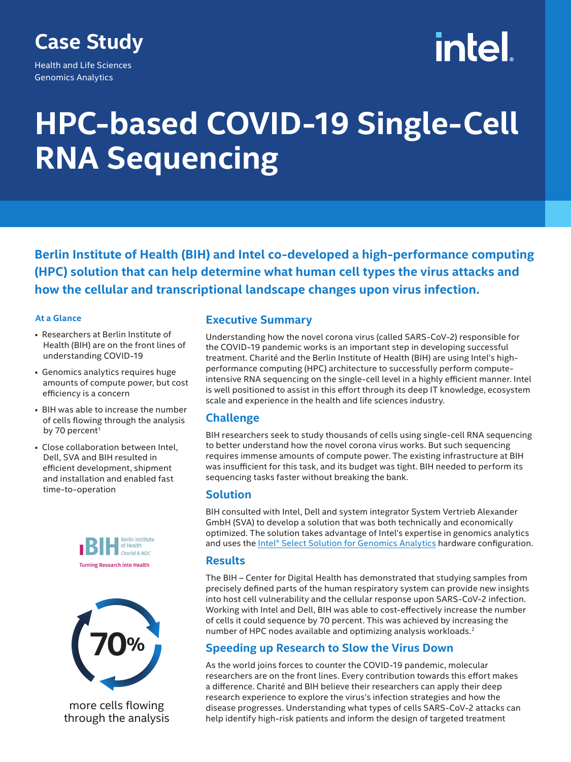# **Case Study**

Health and Life Sciences Genomics Analytics

# intel

# **HPC-based COVID-19 Single-Cell RNA Sequencing**

**Berlin Institute of Health (BIH) and Intel co-developed a high-performance computing (HPC) solution that can help determine what human cell types the virus attacks and how the cellular and transcriptional landscape changes upon virus infection.**

#### **At a Glance**

- Researchers at Berlin Institute of Health (BIH) are on the front lines of understanding COVID-19
- Genomics analytics requires huge amounts of compute power, but cost efficiency is a concern
- BIH was able to increase the number of cells flowing through the analysis by 70 percent<sup>1</sup>
- Close collaboration between Intel, Dell, SVA and BIH resulted in efficient development, shipment and installation and enabled fast time-to-operation





more cells flowing through the analysis

### **Executive Summary**

Understanding how the novel corona virus (called SARS‐CoV‐2) responsible for the COVID-19 pandemic works is an important step in developing successful treatment. Charité and the Berlin Institute of Health (BIH) are using Intel's highperformance computing (HPC) architecture to successfully perform computeintensive RNA sequencing on the single-cell level in a highly efficient manner. Intel is well positioned to assist in this effort through its deep IT knowledge, ecosystem scale and experience in the health and life sciences industry.

# **Challenge**

BIH researchers seek to study thousands of cells using single-cell RNA sequencing to better understand how the novel corona virus works. But such sequencing requires immense amounts of compute power. The existing infrastructure at BIH was insufficient for this task, and its budget was tight. BIH needed to perform its sequencing tasks faster without breaking the bank.

#### **Solution**

BIH consulted with Intel, Dell and system integrator System Vertrieb Alexander GmbH (SVA) to develop a solution that was both technically and economically optimized. The solution takes advantage of Intel's expertise in genomics analytics and uses the [Intel® Select Solution for Genomics Analytics](https://www.intel.com/content/www/us/en/products/solutions/select-solutions/hpc/genomics-analytics-v2.html) hardware configuration.

### **Results**

The BIH – Center for Digital Health has demonstrated that studying samples from precisely defined parts of the human respiratory system can provide new insights into host cell vulnerability and the cellular response upon SARS‐CoV‐2 infection. Working with Intel and Dell, BIH was able to cost-effectively increase the number of cells it could sequence by 70 percent. This was achieved by increasing the number of HPC nodes available and optimizing analysis workloads.2

# **Speeding up Research to Slow the Virus Down**

As the world joins forces to counter the COVID-19 pandemic, molecular researchers are on the front lines. Every contribution towards this effort makes a difference. Charité and BIH believe their researchers can apply their deep research experience to explore the virus's infection strategies and how the disease progresses. Understanding what types of cells SARS‐CoV‐2 attacks can help identify high-risk patients and inform the design of targeted treatment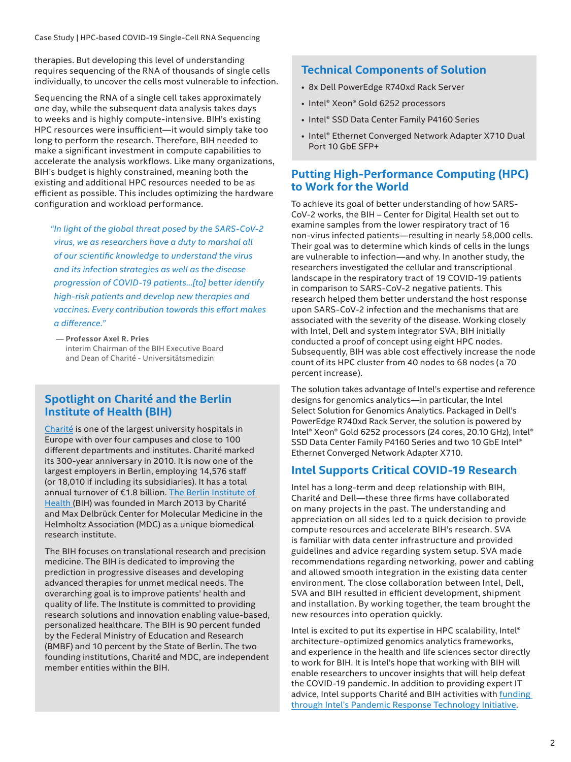Case Study | HPC-based COVID-19 Single-Cell RNA Sequencing

therapies. But developing this level of understanding requires sequencing of the RNA of thousands of single cells individually, to uncover the cells most vulnerable to infection.

Sequencing the RNA of a single cell takes approximately one day, while the subsequent data analysis takes days to weeks and is highly compute-intensive. BIH's existing HPC resources were insufficient—it would simply take too long to perform the research. Therefore, BIH needed to make a significant investment in compute capabilities to accelerate the analysis workflows. Like many organizations, BIH's budget is highly constrained, meaning both the existing and additional HPC resources needed to be as efficient as possible. This includes optimizing the hardware configuration and workload performance.

*"In light of the global threat posed by the SARS-CoV-2 virus, we as researchers have a duty to marshal all of our scientific knowledge to understand the virus and its infection strategies as well as the disease progression of COVID-19 patients…[to] better identify high-risk patients and develop new therapies and vaccines. Every contribution towards this effort makes a difference."*

 — **Professor Axel R. Pries** interim Chairman of the BIH Executive Board and Dean of Charité - Universitätsmedizin

### **Spotlight on Charité and the Berlin Institute of Health (BIH)**

[Charité](https://www.charite.de/) is one of the largest university hospitals in Europe with over four campuses and close to 100 different departments and institutes. Charité marked its 300-year anniversary in 2010. It is now one of the largest employers in Berlin, employing 14,576 staff (or 18,010 if including its subsidiaries). It has a total annual turnover of €1.8 billion. [The Berlin Institute of](https://www.bihealth.org/en/)  [Health](https://www.bihealth.org/en/) (BIH) was founded in March 2013 by Charité and Max Delbrück Center for Molecular Medicine in the Helmholtz Association (MDC) as a unique biomedical research institute.

The BIH focuses on translational research and precision medicine. The BIH is dedicated to improving the prediction in progressive diseases and developing advanced therapies for unmet medical needs. The overarching goal is to improve patients' health and quality of life. The Institute is committed to providing research solutions and innovation enabling value-based, personalized healthcare. The BIH is 90 percent funded by the Federal Ministry of Education and Research (BMBF) and 10 percent by the State of Berlin. The two founding institutions, Charité and MDC, are independent member entities within the BIH.

# **Technical Components of Solution**

- 8x Dell PowerEdge R740xd Rack Server
- Intel® Xeon® Gold 6252 processors
- Intel® SSD Data Center Family P4160 Series
- Intel® Ethernet Converged Network Adapter X710 Dual Port 10 GbE SFP+

#### **Putting High-Performance Computing (HPC) to Work for the World**

To achieve its goal of better understanding of how SARS-CoV-2 works, the BIH – Center for Digital Health set out to examine samples from the lower respiratory tract of 16 non-virus infected patients—resulting in nearly 58,000 cells. Their goal was to determine which kinds of cells in the lungs are vulnerable to infection—and why. In another study, the researchers investigated the cellular and transcriptional landscape in the respiratory tract of 19 COVID-19 patients in comparison to SARS-CoV-2 negative patients. This research helped them better understand the host response upon SARS-CoV-2 infection and the mechanisms that are associated with the severity of the disease. Working closely with Intel, Dell and system integrator SVA, BIH initially conducted a proof of concept using eight HPC nodes. Subsequently, BIH was able cost effectively increase the node count of its HPC cluster from 40 nodes to 68 nodes (a 70 percent increase).

The solution takes advantage of Intel's expertise and reference designs for genomics analytics—in particular, the Intel Select Solution for Genomics Analytics. Packaged in Dell's PowerEdge R740xd Rack Server, the solution is powered by Intel® Xeon® Gold 6252 processors (24 cores, 20.10 GHz), Intel® SSD Data Center Family P4160 Series and two 10 GbE Intel® Ethernet Converged Network Adapter X710.

# **Intel Supports Critical COVID-19 Research**

Intel has a long-term and deep relationship with BIH, Charité and Dell—these three firms have collaborated on many projects in the past. The understanding and appreciation on all sides led to a quick decision to provide compute resources and accelerate BIH's research. SVA is familiar with data center infrastructure and provided guidelines and advice regarding system setup. SVA made recommendations regarding networking, power and cabling and allowed smooth integration in the existing data center environment. The close collaboration between Intel, Dell, SVA and BIH resulted in efficient development, shipment and installation. By working together, the team brought the new resources into operation quickly.

Intel is excited to put its expertise in HPC scalability, Intel® architecture-optimized genomics analytics frameworks, and experience in the health and life sciences sector directly to work for BIH. It is Intel's hope that working with BIH will enable researchers to uncover insights that will help defeat the COVID-19 pandemic. In addition to providing expert IT advice, Intel supports Charité and BIH activities with funding [through Intel's Pandemic Response Technology Initiative](https://newsroom.intel.com/news/intel-commits-technology-response-combat-coronavirus/#gs.9ir7r9).